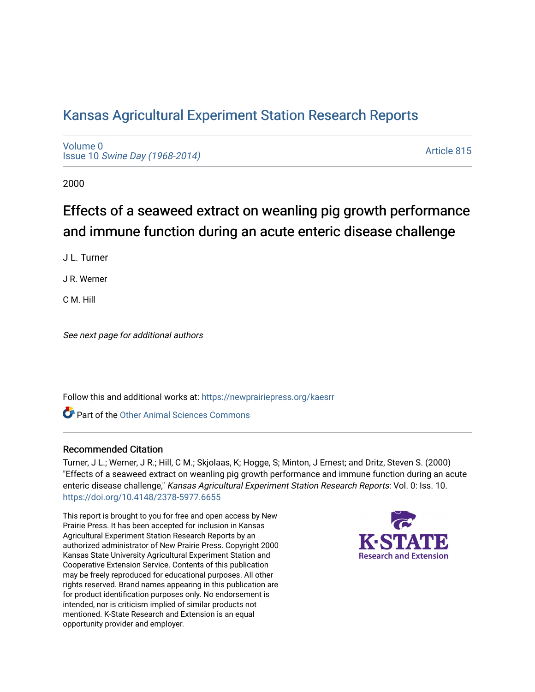# [Kansas Agricultural Experiment Station Research Reports](https://newprairiepress.org/kaesrr)

[Volume 0](https://newprairiepress.org/kaesrr/vol0) Issue 10 [Swine Day \(1968-2014\)](https://newprairiepress.org/kaesrr/vol0/iss10)

[Article 815](https://newprairiepress.org/kaesrr/vol0/iss10/815) 

2000

# Effects of a seaweed extract on weanling pig growth performance and immune function during an acute enteric disease challenge

J L. Turner

J R. Werner

C M. Hill

See next page for additional authors

Follow this and additional works at: [https://newprairiepress.org/kaesrr](https://newprairiepress.org/kaesrr?utm_source=newprairiepress.org%2Fkaesrr%2Fvol0%2Fiss10%2F815&utm_medium=PDF&utm_campaign=PDFCoverPages) 

**C** Part of the [Other Animal Sciences Commons](http://network.bepress.com/hgg/discipline/82?utm_source=newprairiepress.org%2Fkaesrr%2Fvol0%2Fiss10%2F815&utm_medium=PDF&utm_campaign=PDFCoverPages)

#### Recommended Citation

Turner, J L.; Werner, J R.; Hill, C M.; Skjolaas, K; Hogge, S; Minton, J Ernest; and Dritz, Steven S. (2000) "Effects of a seaweed extract on weanling pig growth performance and immune function during an acute enteric disease challenge," Kansas Agricultural Experiment Station Research Reports: Vol. 0: Iss. 10. <https://doi.org/10.4148/2378-5977.6655>

This report is brought to you for free and open access by New Prairie Press. It has been accepted for inclusion in Kansas Agricultural Experiment Station Research Reports by an authorized administrator of New Prairie Press. Copyright 2000 Kansas State University Agricultural Experiment Station and Cooperative Extension Service. Contents of this publication may be freely reproduced for educational purposes. All other rights reserved. Brand names appearing in this publication are for product identification purposes only. No endorsement is intended, nor is criticism implied of similar products not mentioned. K-State Research and Extension is an equal opportunity provider and employer.

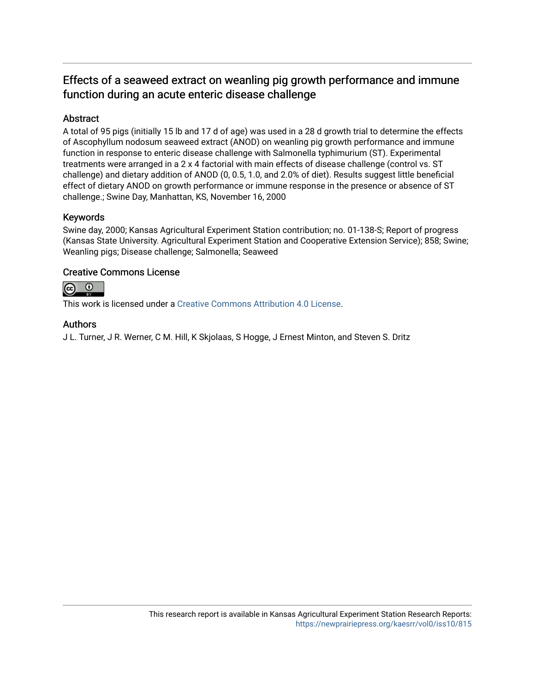## Effects of a seaweed extract on weanling pig growth performance and immune function during an acute enteric disease challenge

## Abstract

A total of 95 pigs (initially 15 lb and 17 d of age) was used in a 28 d growth trial to determine the effects of Ascophyllum nodosum seaweed extract (ANOD) on weanling pig growth performance and immune function in response to enteric disease challenge with Salmonella typhimurium (ST). Experimental treatments were arranged in a 2 x 4 factorial with main effects of disease challenge (control vs. ST challenge) and dietary addition of ANOD (0, 0.5, 1.0, and 2.0% of diet). Results suggest little beneficial effect of dietary ANOD on growth performance or immune response in the presence or absence of ST challenge.; Swine Day, Manhattan, KS, November 16, 2000

## Keywords

Swine day, 2000; Kansas Agricultural Experiment Station contribution; no. 01-138-S; Report of progress (Kansas State University. Agricultural Experiment Station and Cooperative Extension Service); 858; Swine; Weanling pigs; Disease challenge; Salmonella; Seaweed

## Creative Commons License



This work is licensed under a [Creative Commons Attribution 4.0 License](https://creativecommons.org/licenses/by/4.0/).

## Authors

J L. Turner, J R. Werner, C M. Hill, K Skjolaas, S Hogge, J Ernest Minton, and Steven S. Dritz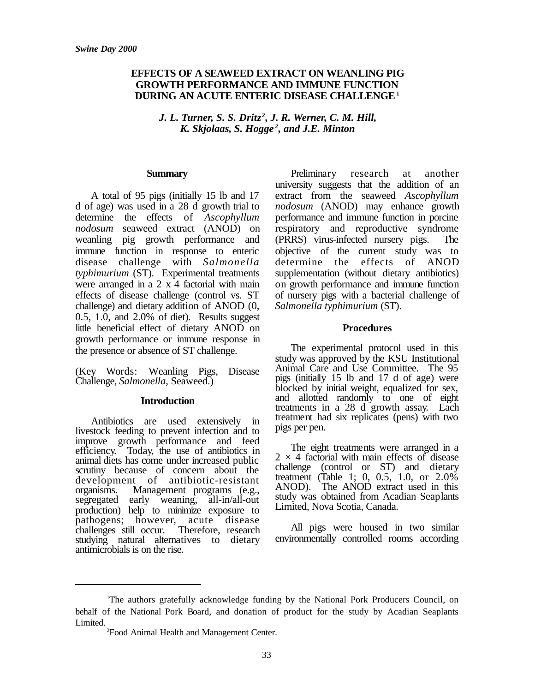### **EFFECTS OF A SEAWEED EXTRACT ON WEANLING PIG GROWTH PERFORMANCE AND IMMUNE FUNCTION DURING AN ACUTE ENTERIC DISEASE CHALLENGE<sup>1</sup>**

*J. L. Turner, S. S. Dritz <sup>2</sup> , J. R. Werner, C. M. Hill, K. Skjolaas, S. Hogge <sup>2</sup> , and J.E. Minton*

#### **Summary**

A total of 95 pigs (initially 15 lb and 17 d of age) was used in a 28 d growth trial to determine the effects of *Ascophyllum nodosum* seaweed extract (ANOD) on weanling pig growth performance and immune function in response to enteric disease challenge with *Salmonella typhimurium* (ST). Experimental treatments were arranged in a 2 x 4 factorial with main effects of disease challenge (control vs. ST challenge) and dietary addition of ANOD (0, 0.5, 1.0, and 2.0% of diet). Results suggest little beneficial effect of dietary ANOD on growth performance or immune response in the presence or absence of ST challenge.

(Key Words: Weanling Pigs, Disease Challenge, *Salmonella*, Seaweed.)

#### **Introduction**

Antibiotics are used extensively in livestock feeding to prevent infection and to improve growth performance and feed efficiency. Today, the use of antibiotics in animal diets has come under increased public scrutiny because of concern about the development of antibiotic-resistant organisms. Management programs (e.g., segregated early weaning, all-in/all-out production) help to minimize exposure to pathogens; however, acute disease challenges still occur. Therefore, research studying natural alternatives to dietary antimicrobials is on the rise.

Preliminary research at another university suggests that the addition of an extract from the seaweed *Ascophyllum nodosum* (ANOD) may enhance growth performance and immune function in porcine respiratory and reproductive syndrome (PRRS) virus-infected nursery pigs. The objective of the current study was to determine the effects of ANOD supplementation (without dietary antibiotics) on growth performance and immune function of nursery pigs with a bacterial challenge of *Salmonella typhimurium* (ST).

#### **Procedures**

The experimental protocol used in this study was approved by the KSU Institutional Animal Care and Use Committee. The 95 pigs (initially 15 lb and 17 d of age) were blocked by initial weight, equalized for sex, and allotted randomly to one of eight treatments in a 28 d growth assay. Each treatment had six replicates (pens) with two pigs per pen.

The eight treatments were arranged in a  $2 \times 4$  factorial with main effects of disease challenge (control or ST) and dietary treatment (Table 1; 0, 0.5, 1.0, or 2.0% ANOD). The ANOD extract used in this study was obtained from Acadian Seaplants Limited, Nova Scotia, Canada.

All pigs were housed in two similar environmentally controlled rooms according

<sup>1</sup>The authors gratefully acknowledge funding by the National Pork Producers Council, on behalf of the National Pork Board, and donation of product for the study by Acadian Seaplants Limited.

<sup>2</sup>Food Animal Health and Management Center.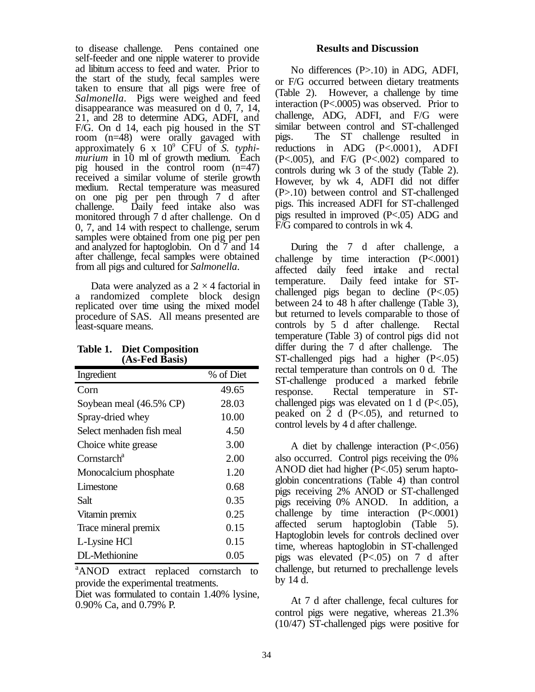to disease challenge. Pens contained one self-feeder and one nipple waterer to provide ad libitum access to feed and water. Prior to the start of the study, fecal samples were taken to ensure that all pigs were free of *Salmonella*. Pigs were weighed and feed disappearance was measured on d 0, 7, 14, 21, and 28 to determine ADG, ADFI, and F/G. On d 14, each pig housed in the ST room (n=48) were orally gavaged with approximately 6 x 10<sup>9</sup> CFU of *S. typhimurium* in 10 ml of growth medium. Each pig housed in the control room (n=47) received a similar volume of sterile growth medium. Rectal temperature was measured on one pig per pen through 7 d after challenge. Daily feed intake also was monitored through 7 d after challenge. On d 0, 7, and 14 with respect to challenge, serum samples were obtained from one pig per pen and analyzed for haptoglobin. On d 7 and 14 after challenge, fecal samples were obtained from all pigs and cultured for *Salmonella*.

Data were analyzed as a  $2 \times 4$  factorial in a randomized complete block design replicated over time using the mixed model procedure of SAS. All means presented are least-square means.

| (AS-Peu Dasis <i>)</i>    |           |
|---------------------------|-----------|
| Ingredient                | % of Diet |
| Corn                      | 49.65     |
| Soybean meal (46.5% CP)   | 28.03     |
| Spray-dried whey          | 10.00     |
| Select menhaden fish meal | 4.50      |
| Choice white grease       | 3.00      |
| Cornstarch <sup>a</sup>   | 2.00      |
| Monocalcium phosphate     | 1.20      |
| Limestone                 | 0.68      |
| Salt                      | 0.35      |
| Vitamin premix            | 0.25      |
| Trace mineral premix      | 0.15      |
| L-Lysine HCl              | 0.15      |
| DL-Methionine             | 0.05      |

| <b>Table 1. Diet Composition</b> |
|----------------------------------|
| (As-Fed Basis)                   |

<sup>a</sup>ANOD extract replaced cornstarch to provide the experimental treatments.

Diet was formulated to contain 1.40% lysine, 0.90% Ca, and 0.79% P.

#### **Results and Discussion**

No differences (P>.10) in ADG, ADFI, or F/G occurred between dietary treatments (Table 2). However, a challenge by time interaction (P<.0005) was observed. Prior to challenge, ADG, ADFI, and F/G were similar between control and ST-challenged pigs. The ST challenge resulted in reductions in ADG (P<.0001), ADFI  $(P<.005)$ , and  $F/G$   $(P<.002)$  compared to controls during wk 3 of the study (Table 2). However, by wk 4, ADFI did not differ (P>.10) between control and ST-challenged pigs. This increased ADFI for ST-challenged pigs resulted in improved (P<.05) ADG and F/G compared to controls in wk 4.

During the 7 d after challenge, a challenge by time interaction (P<.0001) affected daily feed intake and rectal temperature. Daily feed intake for STchallenged pigs began to decline (P<.05) between 24 to 48 h after challenge (Table 3), but returned to levels comparable to those of controls by 5 d after challenge. Rectal temperature (Table 3) of control pigs did not differ during the 7 d after challenge. The ST-challenged pigs had a higher (P<.05) rectal temperature than controls on 0 d. The ST-challenge produced a marked febrile response. Rectal temperature in STchallenged pigs was elevated on 1 d (P<.05), peaked on  $\overline{2}$  d (P<.05), and returned to control levels by 4 d after challenge.

A diet by challenge interaction (P<.056) also occurred. Control pigs receiving the 0% ANOD diet had higher (P<.05) serum haptoglobin concentrations (Table 4) than control pigs receiving 2% ANOD or ST-challenged pigs receiving 0% ANOD. In addition, a challenge by time interaction (P<.0001) affected serum haptoglobin (Table 5). Haptoglobin levels for controls declined over time, whereas haptoglobin in ST-challenged pigs was elevated (P<.05) on 7 d after challenge, but returned to prechallenge levels by 14 d.

At 7 d after challenge, fecal cultures for control pigs were negative, whereas 21.3% (10/47) ST-challenged pigs were positive for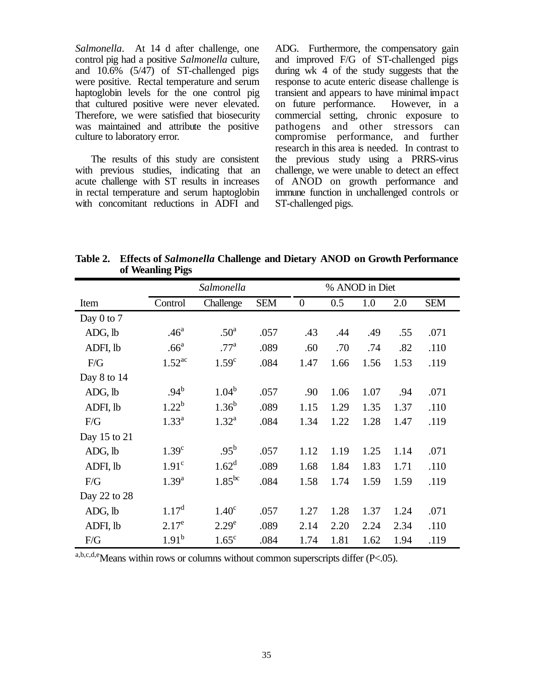*Salmonella*. At 14 d after challenge, one control pig had a positive *Salmonella* culture, and 10.6% (5/47) of ST-challenged pigs were positive. Rectal temperature and serum haptoglobin levels for the one control pig that cultured positive were never elevated. Therefore, we were satisfied that biosecurity was maintained and attribute the positive culture to laboratory error.

The results of this study are consistent with previous studies, indicating that an acute challenge with ST results in increases in rectal temperature and serum haptoglobin with concomitant reductions in ADFI and

ADG. Furthermore, the compensatory gain and improved F/G of ST-challenged pigs during wk 4 of the study suggests that the response to acute enteric disease challenge is transient and appears to have minimal impact on future performance. However, in a commercial setting, chronic exposure to pathogens and other stressors can compromise performance, and further research in this area is needed. In contrast to the previous study using a PRRS-virus challenge, we were unable to detect an effect of ANOD on growth performance and immune function in unchallenged controls or ST-challenged pigs.

**Table 2. Effects of** *Salmonella* **Challenge and Dietary ANOD on Growth Performance of Weanling Pigs**

|                | Salmonella           |                   | % ANOD in Diet |                  |      |      |      |            |
|----------------|----------------------|-------------------|----------------|------------------|------|------|------|------------|
| Item           | Control              | Challenge         | <b>SEM</b>     | $\boldsymbol{0}$ | 0.5  | 1.0  | 2.0  | <b>SEM</b> |
| Day $0$ to $7$ |                      |                   |                |                  |      |      |      |            |
| ADG, lb        | .46 <sup>a</sup>     | .50 <sup>a</sup>  | .057           | .43              | .44  | .49  | .55  | .071       |
| ADFI, lb       | .66 <sup>a</sup>     | .77 <sup>a</sup>  | .089           | .60              | .70  | .74  | .82  | .110       |
| F/G            | $1.52$ <sup>ac</sup> | 1.59 <sup>c</sup> | .084           | 1.47             | 1.66 | 1.56 | 1.53 | .119       |
| Day 8 to 14    |                      |                   |                |                  |      |      |      |            |
| ADG, lb        | $.94^{b}$            | $1.04^{b}$        | .057           | .90              | 1.06 | 1.07 | .94  | .071       |
| ADFI, lb       | $1.22^{b}$           | $1.36^{b}$        | .089           | 1.15             | 1.29 | 1.35 | 1.37 | .110       |
| F/G            | $1.33^{a}$           | $1.32^{\rm a}$    | .084           | 1.34             | 1.22 | 1.28 | 1.47 | .119       |
| Day 15 to 21   |                      |                   |                |                  |      |      |      |            |
| ADG, lb        | 1.39 <sup>c</sup>    | $.95^{\rm b}$     | .057           | 1.12             | 1.19 | 1.25 | 1.14 | .071       |
| ADFI, lb       | 1.91 <sup>c</sup>    | $1.62^d$          | .089           | 1.68             | 1.84 | 1.83 | 1.71 | .110       |
| F/G            | $1.39^{a}$           | $1.85^{bc}$       | .084           | 1.58             | 1.74 | 1.59 | 1.59 | .119       |
| Day 22 to 28   |                      |                   |                |                  |      |      |      |            |
| ADG, lb        | 1.17 <sup>d</sup>    | 1.40 <sup>c</sup> | .057           | 1.27             | 1.28 | 1.37 | 1.24 | .071       |
| ADFI, lb       | $2.17^e$             | 2.29 <sup>e</sup> | .089           | 2.14             | 2.20 | 2.24 | 2.34 | .110       |
| F/G            | $1.91^{b}$           | $1.65^{\circ}$    | .084           | 1.74             | 1.81 | 1.62 | 1.94 | .119       |

a,b,c,d,eMeans within rows or columns without common superscripts differ (P<.05).